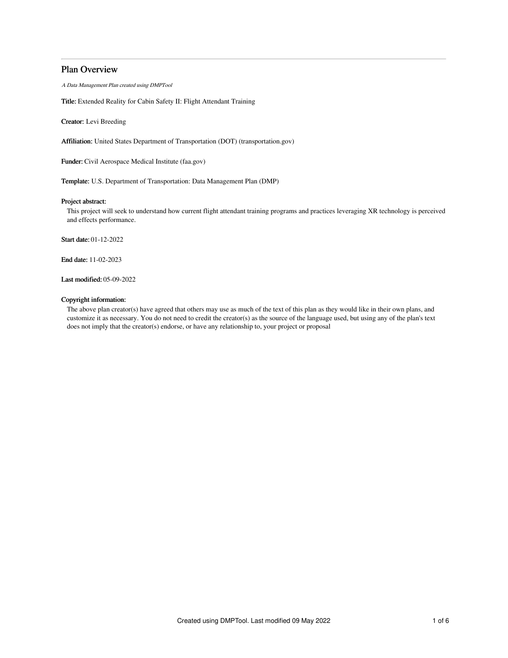# Plan Overview

A Data Management Plan created using DMPTool

Title: Extended Reality for Cabin Safety II: Flight Attendant Training

Creator: Levi Breeding

Affiliation: United States Department of Transportation (DOT) (transportation.gov)

Funder: Civil Aerospace Medical Institute (faa.gov)

Template: U.S. Department of Transportation: Data Management Plan (DMP)

# Project abstract:

This project will seek to understand how current flight attendant training programs and practices leveraging XR technology is perceived and effects performance.

Start date: 01-12-2022

End date: 11-02-2023

Last modified: 05-09-2022

# Copyright information:

The above plan creator(s) have agreed that others may use as much of the text of this plan as they would like in their own plans, and customize it as necessary. You do not need to credit the creator(s) as the source of the language used, but using any of the plan's text does not imply that the creator(s) endorse, or have any relationship to, your project or proposal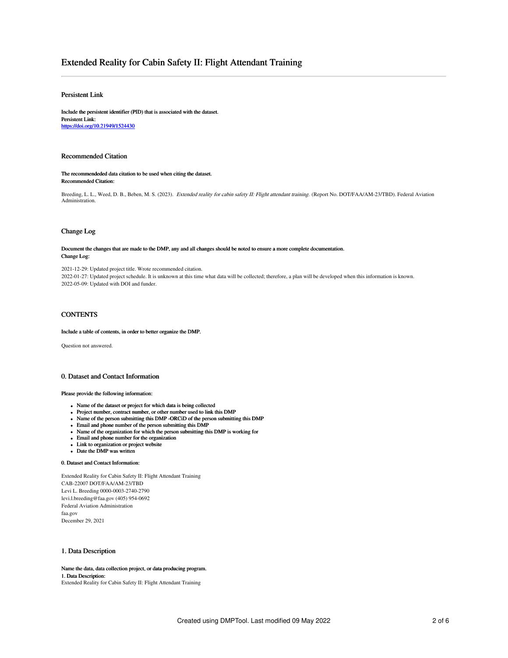# Extended Reality for Cabin Safety II: Flight Attendant Training

# Persistent Link

Include the persistent identifier (PID) that is associated with the dataset. Persistent Link: <https://doi.org/10.21949/1524430>

### Recommended Citation

The recommendeded data citation to be used when citing the dataset. Recommended Citation:

Breeding, L. L., Weed, D. B., Beben, M. S. (2023). Extended reality for cabin safety II: Flight attendant training. (Report No. DOT/FAA/AM-23/TBD). Federal Aviation Administration.

### Change Log

Document the changes that are made to the DMP, any and all changes should be noted to ensure a more complete documentation. Change Log:

2021-12-29: Updated project title. Wrote recommended citation. 2022-01-27: Updated project schedule. It is unknown at this time what data will be collected; therefore, a plan will be developed when this information is known. 2022-05-09: Updated with DOI and funder.

# **CONTENTS**

Include a table of contents, in order to better organize the DMP.

Question not answered.

# 0. Dataset and Contact Information

#### Please provide the following information:

- Name of the dataset or project for which data is being collected
- Project number, contract number, or other number used to link this DMP
- Name of the person submitting this DMP -ORCiD of the person submitting this DMP
- Email and phone number of the person submitting this DMP
- Name of the organization for which the person submitting this DMP is working for
- Email and phone number for the organization
- Link to organization or project website
- Date the DMP was written

# 0. Dataset and Contact Information:

Extended Reality for Cabin Safety II: Flight Attendant Training CAB-22007 DOT/FAA/AM-23/TBD Levi L. Breeding 0000-0003-2740-2790 levi.l.breeding@faa.gov (405) 954-0692 Federal Aviation Administration faa.gov December 29, 2021

# 1. Data Description

Name the data, data collection project, or data producing program. 1. Data Description: Extended Reality for Cabin Safety II: Flight Attendant Training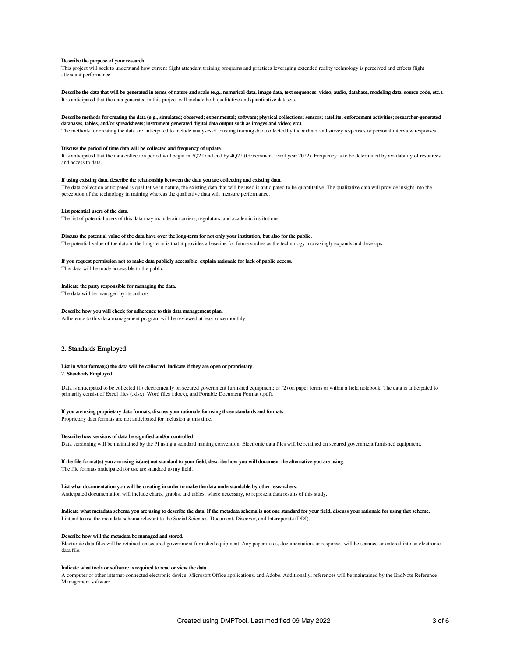#### Describe the purpose of your research.

This project will seek to understand how current flight attendant training programs and practices leveraging extended reality technology is perceived and effects flight attendant performance.

Describe the data that will be generated in terms of nature and scale (e.g., numerical data, image data, text sequences, video, audio, database, modeling data, source code, etc.). It is anticipated that the data generated in this project will include both qualitative and quantitative datasets.

#### Describe methods for creating the data (e.g., simulated; observed; experimental; software; physical collections; sensors; satellite; enforcement activities; researcher-generated databases, tables, and/or spreadsheets; instrument generated digital data output such as images and video; etc).

The methods for creating the data are anticipated to include analyses of existing training data collected by the airlines and survey responses or personal interview responses.

#### Discuss the period of time data will be collected and frequency of update.

It is anticipated that the data collection period will begin in 2Q22 and end by 4Q22 (Government fiscal year 2022). Frequency is to be determined by availability of resources and access to data.

### If using existing data, describe the relationship between the data you are collecting and existing data.

The data collection anticipated is qualitative in nature, the existing data that will be used is anticipated to be quantitative. The qualitative data will provide insight into the perception of the technology in training whereas the qualitative data will measure performance.

#### List potential users of the data.

The list of potential users of this data may include air carriers, regulators, and academic institutions.

#### Discuss the potential value of the data have over the long-term for not only your institution, but also for the public.

The potential value of the data in the long-term is that it provides a baseline for future studies as the technology increasingly expands and develops.

### If you request permission not to make data publicly accessible, explain rationale for lack of public access.

This data will be made accessible to the public.

#### Indicate the party responsible for managing the data.

The data will be managed by its authors.

#### Describe how you will check for adherence to this data management plan.

Adherence to this data management program will be reviewed at least once monthly.

### 2. Standards Employed

### List in what format(s) the data will be collected. Indicate if they are open or proprietary. 2. Standards Employed:

Data is anticipated to be collected (1) electronically on secured government furnished equipment; or (2) on paper forms or within a field notebook. The data is anticipated to primarily consist of Excel files (.xlsx), Word files (.docx), and Portable Document Format (.pdf).

### If you are using proprietary data formats, discuss your rationale for using those standards and formats.

Proprietary data formats are not anticipated for inclusion at this time.

#### Describe how versions of data be signified and/or controlled.

Data versioning will be maintained by the PI using a standard naming convention. Electronic data files will be retained on secured government furnished equipment.

# If the file format(s) you are using is(are) not standard to your field, describe how you will document the alternative you are using.

The file formats anticipated for use are standard to my field.

#### List what documentation you will be creating in order to make the data understandable by other researchers.

Anticipated documentation will include charts, graphs, and tables, where necessary, to represent data results of this study.

### Indicate what metadata schema you are using to describe the data. If the metadata schema is not one standard for your field, discuss your rationale for using that scheme. I intend to use the metadata schema relevant to the Social Sciences: Document, Discover, and Interoperate (DDI).

#### Describe how will the metadata be managed and stored.

Electronic data files will be retained on secured government furnished equipment. Any paper notes, documentation, or responses will be scanned or entered into an electronic data file.

### Indicate what tools or software is required to read or view the data.

A computer or other internet-connected electronic device, Microsoft Office applications, and Adobe. Additionally, references will be maintained by the EndNote Reference Management software.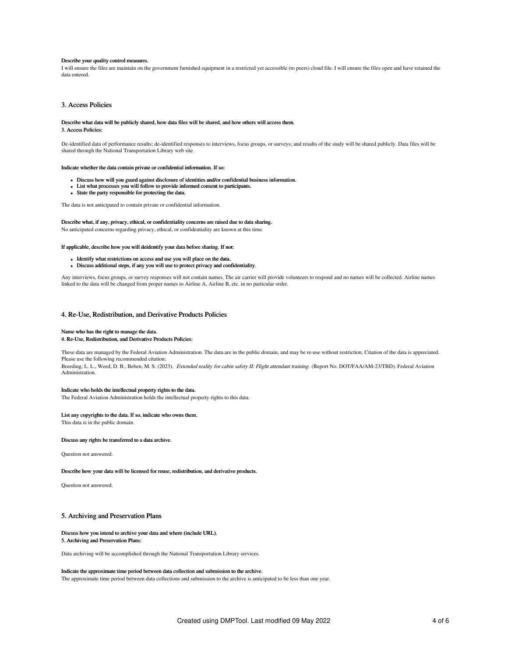#### Describe your quality control measures.

I will ensure the files are maintain on the government furnished equipment in a restricted yet accessible (to peers) cloud file. I will ensure the files open and have retained the data entered.

### 3. Access Policies

#### Describe what data will be publicly shared, how data files will be shared, and how others will access them. 3. Access Policies:

De-identified data of performance results; de-identified responses to interviews, focus groups, or surveys; and results of the study will be shared publicly. Data files will be shared through the National Transportation Library web site.

#### Indicate whether the data contain private or confidential information. If so:

- Discuss how will you guard against disclosure of identities and/or confidential business information.
- List what processes you will follow to provide informed consent to participants.
- State the party responsible for protecting the data.

The data is not anticipated to contain private or confidential information.

# Describe what, if any, privacy, ethical, or confidentiality concerns are raised due to data sharing.

No anticipated concerns regarding privacy, ethical, or confidentiality are known at this time.

### If applicable, describe how you will deidentify your data before sharing. If not:

- Identify what restrictions on access and use you will place on the data.
- Discuss additional steps, if any you will use to protect privacy and confidentiality.

Any interviews, focus groups, or survey responses will not contain names. The air carrier will provide volunteers to respond and no names will be collected. Airline names linked to the data will be changed from proper names to Airline A, Airline B, etc. in no particular order.

### 4. Re-Use, Redistribution, and Derivative Products Policies

#### Name who has the right to manage the data.

#### 4. Re-Use, Redistribution, and Derivative Products Policies:

These data are managed by the Federal Aviation Administration. The data are in the public domain, and may be re-use without restriction. Citation of the data is appreciated. Please use the following recommended citation: Breeding, L. L., Weed, D. B., Beben, M. S. (2023). Extended reality for cabin safety II: Flight attendant training. (Report No. DOT/FAA/AM-23/TBD). Federal Aviation

Administration.

### Indicate who holds the intellectual property rights to the data.

The Federal Aviation Administration holds the intellectual property rights to this data.

# List any copyrights to the data. If so, indicate who owns them.

This data is in the public domain.

#### Discuss any rights be transferred to a data archive.

Question not answered.

#### Describe how your data will be licensed for reuse, redistribution, and derivative products.

Question not answered.

# 5. Archiving and Preservation Plans

# Discuss how you intend to archive your data and where (include URL).

5. Archiving and Preservation Plans:

Data archiving will be accomplished through the National Transportation Library services.

#### Indicate the approximate time period between data collection and submission to the archive.

The approximate time period between data collections and submission to the archive is anticipated to be less than one year.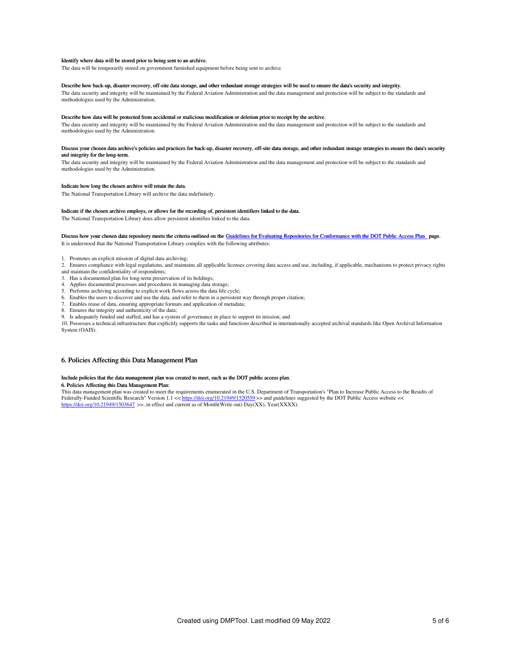#### Identify where data will be stored prior to being sent to an archive.

The data will be temporarily stored on government furnished equipment before being sent to archive.

#### Describe how back-up, disaster recovery, off-site data storage, and other redundant storage strategies will be used to ensure the data's security and integrity.

The data security and integrity will be maintained by the Federal Aviation Administration and the data management and protection will be subject to the standards and methodologies used by the Administration.

### Describe how data will be protected from accidental or malicious modification or deletion prior to receipt by the archive.

The data security and integrity will be maintained by the Federal Aviation Administration and the data management and protection will be subject to the standards and methodologies used by the Administration.

#### Discuss your chosen data archive's policies and practices for back-up, disaster recovery, off-site data storage, and other redundant storage strategies to ensure the data's security and integrity for the long-term.

The data security and integrity will be maintained by the Federal Aviation Administration and the data management and protection will be subject to the standards and methodologies used by the Administration.

### Indicate how long the chosen archive will retain the data.

The National Transportation Library will archive the data indefinitely.

#### Indicate if the chosen archive employs, or allows for the recording of, persistent identifiers linked to the data.

The National Transportation Library does allow persistent identifies linked to the data.

### Discuss how your chosen data repository meets the criteria outlined on the Guidelines for Evaluating Repositories for [Conformance](https://ntl.bts.gov/public-access/guidelines-evaluating-repositories) with the DOT Public Access Plan page. It is understood that the National Transportation Library complies with the following attributes:

1. Promotes an explicit mission of digital data archiving;

- 2. Ensures compliance with legal regulations, and maintains all applicable licenses covering data access and use, including, if applicable, mechanisms to protect privacy rights and maintain the confidentiality of respondents;
- 3. Has a documented plan for long-term preservation of its holdings;
- 4. Applies documented processes and procedures in managing data storage;
- 5. Performs archiving according to explicit work flows across the data life cycle;
- 6. Enables the users to discover and use the data, and refer to them in a persistent way through proper citation;
- 7. Enables reuse of data, ensuring appropriate formats and application of metadata;
- 8. Ensures the integrity and authenticity of the data;

# 9. Is adequately funded and staffed, and has a system of governance in place to support its mission; and

10. Possesses a technical infrastructure that explicitly supports the tasks and functions described in internationally accepted archival standards like Open Archival Information System (OAIS).

# 6. Policies Affecting this Data Management Plan

#### Include policies that the data management plan was created to meet, such as the DOT public access plan.

#### 6. Policies Affecting this Data Management Plan:

This data management plan was created to meet the requirements enumerated in the U.S. Department of Transportation's "Plan to Increase Public Access to the Results of Federally-Funded Scientific Research" Version 1.1 << <https://doi.org/10.21949/1520559> >> and guidelines suggested by the DOT Public Access website <<<br><https://doi.org/10.21949/1503647> >>, in effect and current as of Month(W